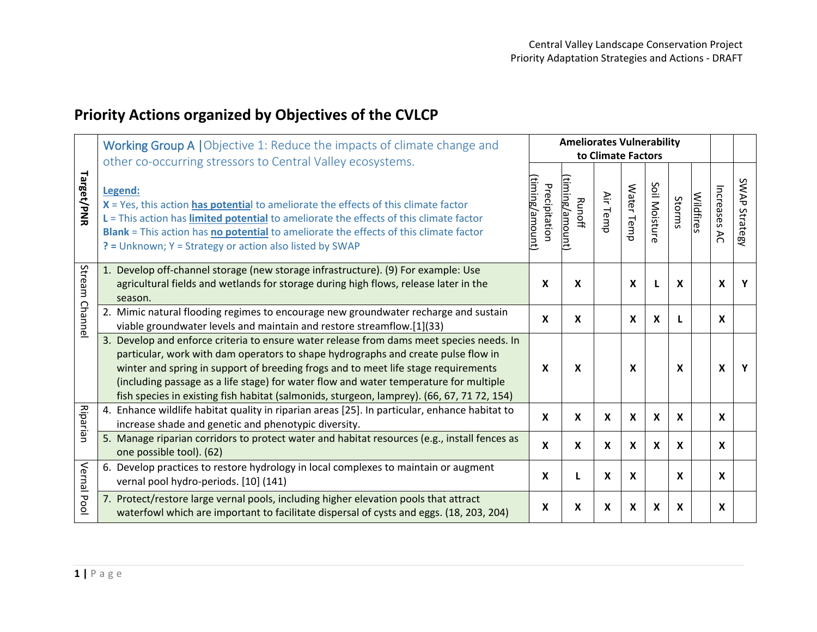## **Priority Actions organized by Objectives of the CVLCP**

|                            | <b>Working Group A   Objective 1: Reduce the impacts of climate change and</b><br>other co-occurring stressors to Central Valley ecosystems.                                                                                                                                                                                                                                                                                                               |                                | <b>Ameliorates Vulnerability</b><br>to Climate Factors |                           |                           |                           |                           |                  |                  |                  |  |
|----------------------------|------------------------------------------------------------------------------------------------------------------------------------------------------------------------------------------------------------------------------------------------------------------------------------------------------------------------------------------------------------------------------------------------------------------------------------------------------------|--------------------------------|--------------------------------------------------------|---------------------------|---------------------------|---------------------------|---------------------------|------------------|------------------|------------------|--|
|                            |                                                                                                                                                                                                                                                                                                                                                                                                                                                            |                                |                                                        |                           |                           |                           |                           |                  |                  |                  |  |
| <b>Target/PNR</b>          | Legend:<br>X = Yes, this action has potential to ameliorate the effects of this climate factor<br>L = This action has limited potential to ameliorate the effects of this climate factor<br>Blank = This action has no potential to ameliorate the effects of this climate factor<br>? = Unknown; Y = Strategy or action also listed by SWAP                                                                                                               | timing/amount<br>Precipitation | timing/amount)<br><b>Runoff</b>                        | ≦.<br>Temp                | Water Temp                | Soil Moisture             | Storms                    | <b>Wildfires</b> | Increases<br>λČ  | SWAP<br>Strategy |  |
| Stream<br>Channel          | 1. Develop off-channel storage (new storage infrastructure). (9) For example: Use<br>agricultural fields and wetlands for storage during high flows, release later in the<br>season.                                                                                                                                                                                                                                                                       | X                              | X                                                      |                           | X                         |                           | $\mathbf x$               |                  | X                | Υ                |  |
|                            | 2. Mimic natural flooding regimes to encourage new groundwater recharge and sustain<br>viable groundwater levels and maintain and restore streamflow.[1](33)                                                                                                                                                                                                                                                                                               | X                              | X                                                      |                           | $\boldsymbol{\mathsf{X}}$ | X                         | L                         |                  | $\mathbf{x}$     |                  |  |
|                            | 3. Develop and enforce criteria to ensure water release from dams meet species needs. In<br>particular, work with dam operators to shape hydrographs and create pulse flow in<br>winter and spring in support of breeding frogs and to meet life stage requirements<br>(including passage as a life stage) for water flow and water temperature for multiple<br>fish species in existing fish habitat (salmonids, sturgeon, lamprey). (66, 67, 71 72, 154) | $\boldsymbol{\mathsf{x}}$      | X                                                      |                           | $\mathbf{x}$              |                           | $\mathbf x$               |                  | $\mathbf{x}$     | $\mathbf{Y}$     |  |
| Riparian<br>Vernal<br>Pool | Enhance wildlife habitat quality in riparian areas [25]. In particular, enhance habitat to<br>4.<br>increase shade and genetic and phenotypic diversity.                                                                                                                                                                                                                                                                                                   | X                              | X                                                      | X                         | X                         | $\boldsymbol{\mathsf{x}}$ | $\boldsymbol{\mathsf{x}}$ |                  | $\boldsymbol{x}$ |                  |  |
|                            | 5. Manage riparian corridors to protect water and habitat resources (e.g., install fences as<br>one possible tool). (62)                                                                                                                                                                                                                                                                                                                                   | X                              | X                                                      | $\boldsymbol{\mathsf{x}}$ | X                         | $\boldsymbol{\mathsf{x}}$ | $\mathsf{x}$              |                  | $\boldsymbol{x}$ |                  |  |
|                            | 6. Develop practices to restore hydrology in local complexes to maintain or augment<br>vernal pool hydro-periods. [10] (141)                                                                                                                                                                                                                                                                                                                               | X                              | L                                                      | X                         | $\boldsymbol{x}$          |                           | $\mathbf{x}$              |                  | $\boldsymbol{x}$ |                  |  |
|                            | 7. Protect/restore large vernal pools, including higher elevation pools that attract<br>waterfowl which are important to facilitate dispersal of cysts and eggs. (18, 203, 204)                                                                                                                                                                                                                                                                            | X                              | X                                                      | X                         | X                         | X                         | X                         |                  | X                |                  |  |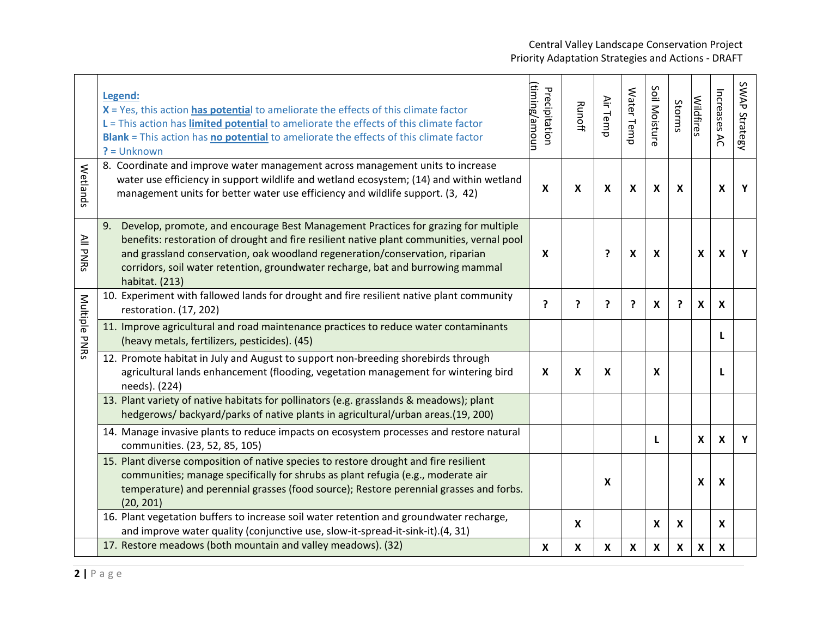## Central Valley Landscape Conservation Project Priority Adaptation Strategies and Actions - DRAFT

|               |    | Legend:<br>X = Yes, this action has potential to ameliorate the effects of this climate factor<br>L = This action has <i>limited potential</i> to ameliorate the effects of this climate factor<br>Blank = This action has no potential to ameliorate the effects of this climate factor<br>$? = Unknown$                                                            | timing/amoun<br>Precipitation | <b>Runoff</b> | Air Temp | Water Temp                | Soil Moisture             | Storms                    | <b>Wildfires</b> | Increases<br>$\lambda$    | SWAP Strategy |
|---------------|----|----------------------------------------------------------------------------------------------------------------------------------------------------------------------------------------------------------------------------------------------------------------------------------------------------------------------------------------------------------------------|-------------------------------|---------------|----------|---------------------------|---------------------------|---------------------------|------------------|---------------------------|---------------|
| Wetlands      |    | 8. Coordinate and improve water management across management units to increase<br>water use efficiency in support wildlife and wetland ecosystem; (14) and within wetland<br>management units for better water use efficiency and wildlife support. (3, 42)                                                                                                          | $\boldsymbol{\mathsf{X}}$     | X             | X        | $\boldsymbol{\mathsf{X}}$ | $\mathsf{x}$              | $\boldsymbol{\mathsf{x}}$ |                  | $\boldsymbol{x}$          | Y             |
| All PNRs      | 9. | Develop, promote, and encourage Best Management Practices for grazing for multiple<br>benefits: restoration of drought and fire resilient native plant communities, vernal pool<br>and grassland conservation, oak woodland regeneration/conservation, riparian<br>corridors, soil water retention, groundwater recharge, bat and burrowing mammal<br>habitat. (213) | $\boldsymbol{\mathsf{X}}$     |               | ?        | X                         | $\boldsymbol{\mathsf{X}}$ |                           | X                | $\boldsymbol{\mathsf{x}}$ | Y             |
|               |    | 10. Experiment with fallowed lands for drought and fire resilient native plant community<br>restoration. (17, 202)                                                                                                                                                                                                                                                   | ?                             | ?             | ?        | ?                         | $\boldsymbol{\mathsf{X}}$ | ?                         | $\boldsymbol{x}$ | $\boldsymbol{x}$          |               |
| Multiple PNRs |    | 11. Improve agricultural and road maintenance practices to reduce water contaminants<br>(heavy metals, fertilizers, pesticides). (45)                                                                                                                                                                                                                                |                               |               |          |                           |                           |                           |                  | L                         |               |
|               |    | 12. Promote habitat in July and August to support non-breeding shorebirds through<br>agricultural lands enhancement (flooding, vegetation management for wintering bird<br>needs). (224)                                                                                                                                                                             | X                             | X             | X        |                           | $\boldsymbol{x}$          |                           |                  | L                         |               |
|               |    | 13. Plant variety of native habitats for pollinators (e.g. grasslands & meadows); plant<br>hedgerows/backyard/parks of native plants in agricultural/urban areas.(19, 200)                                                                                                                                                                                           |                               |               |          |                           |                           |                           |                  |                           |               |
|               |    | 14. Manage invasive plants to reduce impacts on ecosystem processes and restore natural<br>communities. (23, 52, 85, 105)                                                                                                                                                                                                                                            |                               |               |          |                           |                           |                           | $\mathbf x$      | $\boldsymbol{\mathsf{x}}$ | Y             |
|               |    | 15. Plant diverse composition of native species to restore drought and fire resilient<br>communities; manage specifically for shrubs as plant refugia (e.g., moderate air<br>temperature) and perennial grasses (food source); Restore perennial grasses and forbs.<br>(20, 201)                                                                                     |                               |               | X        |                           |                           |                           | $\mathsf{x}$     | $\boldsymbol{\mathsf{x}}$ |               |
|               |    | 16. Plant vegetation buffers to increase soil water retention and groundwater recharge,<br>and improve water quality (conjunctive use, slow-it-spread-it-sink-it).(4, 31)                                                                                                                                                                                            |                               | $\mathbf{x}$  |          |                           | $\mathbf{x}$              | $\boldsymbol{\mathsf{x}}$ |                  | X                         |               |
|               |    | 17. Restore meadows (both mountain and valley meadows). (32)                                                                                                                                                                                                                                                                                                         | $\boldsymbol{\mathsf{X}}$     | X             | X        | $\boldsymbol{\mathsf{X}}$ | X                         | $\boldsymbol{\mathsf{X}}$ | X                | $\boldsymbol{\mathsf{X}}$ |               |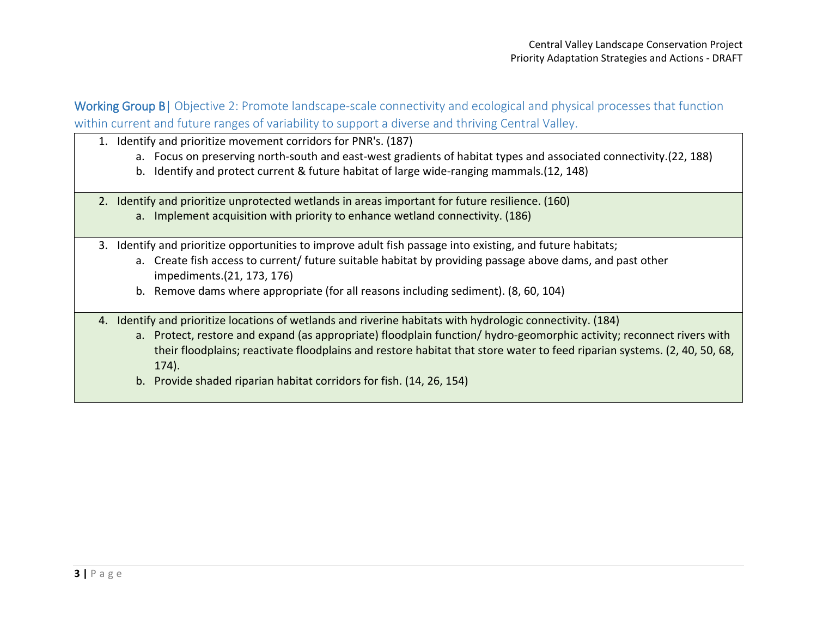Working Group B| Objective 2: Promote landscape-scale connectivity and ecological and physical processes that function within current and future ranges of variability to support a diverse and thriving Central Valley.

- 1. Identify and prioritize movement corridors for PNR's. (187)
	- a. Focus on preserving north-south and east-west gradients of habitat types and associated connectivity.(22, 188)
	- b. Identify and protect current & future habitat of large wide-ranging mammals.(12, 148)
- 2. Identify and prioritize unprotected wetlands in areas important for future resilience. (160)
	- a. Implement acquisition with priority to enhance wetland connectivity. (186)
- 3. Identify and prioritize opportunities to improve adult fish passage into existing, and future habitats;
	- a. Create fish access to current/ future suitable habitat by providing passage above dams, and past other impediments.(21, 173, 176)
	- b. Remove dams where appropriate (for all reasons including sediment). (8, 60, 104)
- 4. Identify and prioritize locations of wetlands and riverine habitats with hydrologic connectivity. (184)
	- a. Protect, restore and expand (as appropriate) floodplain function/ hydro-geomorphic activity; reconnect rivers with their floodplains; reactivate floodplains and restore habitat that store water to feed riparian systems. (2, 40, 50, 68, 174).
	- b. Provide shaded riparian habitat corridors for fish. (14, 26, 154)